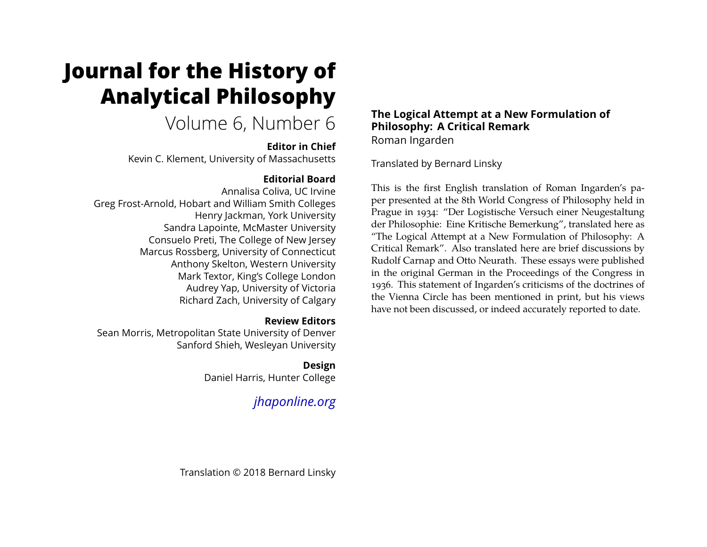# **Journal for the History of Analytical Philosophy**

# Volume 6, Number 6

#### **Editor in Chief**

Kevin C. Klement, University of Massachusetts

# **Editorial Board**

Annalisa Coliva, UC Irvine Greg Frost-Arnold, Hobart and William Smith Colleges Henry Jackman, York University Sandra Lapointe, McMaster University Consuelo Preti, The College of New Jersey Marcus Rossberg, University of Connecticut Anthony Skelton, Western University Mark Textor, King's College London Audrey Yap, University of Victoria Richard Zach, University of Calgary

#### **Review Editors**

Sean Morris, Metropolitan State University of Denver Sanford Shieh, Wesleyan University

### **Design**

Daniel Harris, Hunter College

# *[jhaponline.org](https://jhaponline.org)*

#### **The Logical Attempt at a New Formulation of Philosophy: A Critical Remark** Roman Ingarden

Translated by Bernard Linsky

This is the first English translation of Roman Ingarden's paper presented at the 8th World Congress of Philosophy held in Prague in 1934: "Der Logistische Versuch einer Neugestaltung der Philosophie: Eine Kritische Bemerkung", translated here as "The Logical Attempt at a New Formulation of Philosophy: A Critical Remark". Also translated here are brief discussions by Rudolf Carnap and Otto Neurath. These essays were published in the original German in the Proceedings of the Congress in 1936. This statement of Ingarden's criticisms of the doctrines of the Vienna Circle has been mentioned in print, but his views have not been discussed, or indeed accurately reported to date.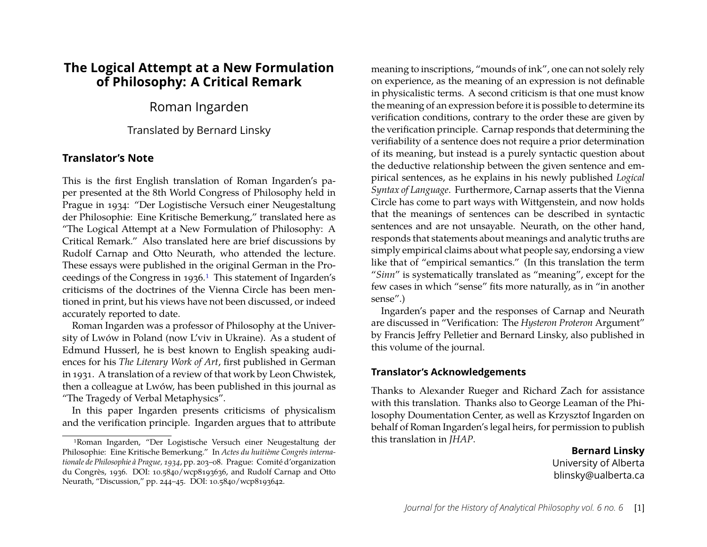# **The Logical Attempt at a New Formulation of Philosophy: A Critical Remark**

### Roman Ingarden

Translated by Bernard Linsky

#### **Translator's Note**

This is the first English translation of Roman Ingarden's paper presented at the 8th World Congress of Philosophy held in Prague in 1934: "Der Logistische Versuch einer Neugestaltung der Philosophie: Eine Kritische Bemerkung," translated here as "The Logical Attempt at a New Formulation of Philosophy: A Critical Remark." Also translated here are brief discussions by Rudolf Carnap and Otto Neurath, who attended the lecture. These essays were published in the original German in the Pro-ceedings of the Congress in [1](#page-1-0)936.<sup>1</sup> This statement of Ingarden's criticisms of the doctrines of the Vienna Circle has been mentioned in print, but his views have not been discussed, or indeed accurately reported to date.

Roman Ingarden was a professor of Philosophy at the University of Lwów in Poland (now L'viv in Ukraine). As a student of Edmund Husserl, he is best known to English speaking audiences for his *The Literary Work of Art*, first published in German in 1931. A translation of a review of that work by Leon Chwistek, then a colleague at Lwów, has been published in this journal as "The Tragedy of Verbal Metaphysics".

In this paper Ingarden presents criticisms of physicalism and the verification principle. Ingarden argues that to attribute

meaning to inscriptions, "mounds of ink", one can not solely rely on experience, as the meaning of an expression is not definable in physicalistic terms. A second criticism is that one must know the meaning of an expression before it is possible to determine its verification conditions, contrary to the order these are given by the verification principle. Carnap responds that determining the verifiability of a sentence does not require a prior determination of its meaning, but instead is a purely syntactic question about the deductive relationship between the given sentence and empirical sentences, as he explains in his newly published *Logical Syntax of Language*. Furthermore, Carnap asserts that the Vienna Circle has come to part ways with Wittgenstein, and now holds that the meanings of sentences can be described in syntactic sentences and are not unsayable. Neurath, on the other hand, responds that statements about meanings and analytic truths are simply empirical claims about what people say, endorsing a view like that of "empirical semantics." (In this translation the term "*Sinn*" is systematically translated as "meaning", except for the few cases in which "sense" fits more naturally, as in "in another sense".)

Ingarden's paper and the responses of Carnap and Neurath are discussed in "Verification: The *Hysteron Proteron* Argument" by Francis Jeffry Pelletier and Bernard Linsky, also published in this volume of the journal.

#### **Translator's Acknowledgements**

Thanks to Alexander Rueger and Richard Zach for assistance with this translation. Thanks also to George Leaman of the Philosophy Doumentation Center, as well as Krzysztof Ingarden on behalf of Roman Ingarden's legal heirs, for permission to publish this translation in *JHAP*.

> **Bernard Linsky** University of Alberta blinsky@ualberta.ca

<span id="page-1-0"></span><sup>1</sup>Roman Ingarden, "Der Logistische Versuch einer Neugestaltung der Philosophie: Eine Kritische Bemerkung." In *Actes du huitième Congrès internationale de Philosophie à Prague, 1934*, pp. 203–08. Prague: Comité d'organization du Congrès, 1936. DOI: 10.5840/wcp8193636, and Rudolf Carnap and Otto Neurath, "Discussion," pp. 244–45. DOI: 10.5840/wcp8193642.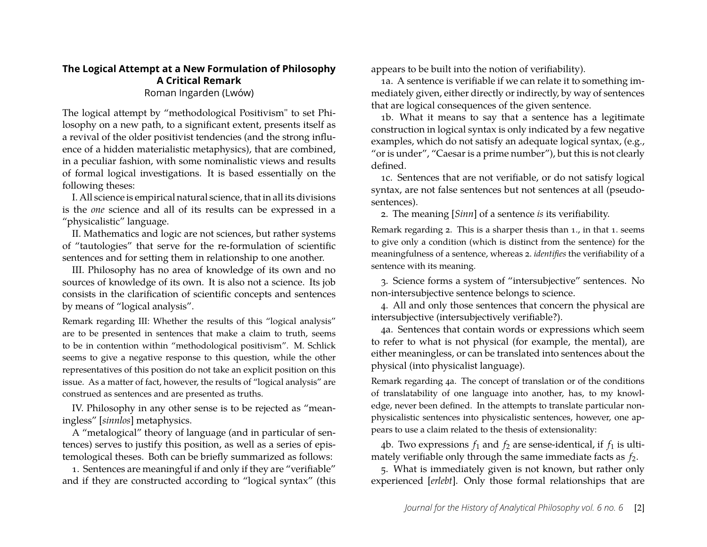#### **The Logical Attempt at a New Formulation of Philosophy A Critical Remark** Roman Ingarden (Lwów)

The logical attempt by "methodological Positivism" to set Philosophy on a new path, to a significant extent, presents itself as a revival of the older positivist tendencies (and the strong influence of a hidden materialistic metaphysics), that are combined, in a peculiar fashion, with some nominalistic views and results of formal logical investigations. It is based essentially on the following theses:

I. All science is empirical natural science, that in all its divisions is the *one* science and all of its results can be expressed in a "physicalistic" language.

II. Mathematics and logic are not sciences, but rather systems of "tautologies" that serve for the re-formulation of scientific sentences and for setting them in relationship to one another.

III. Philosophy has no area of knowledge of its own and no sources of knowledge of its own. It is also not a science. Its job consists in the clarification of scientific concepts and sentences by means of "logical analysis".

Remark regarding III: Whether the results of this "logical analysis" are to be presented in sentences that make a claim to truth, seems to be in contention within "methodological positivism". M. Schlick seems to give a negative response to this question, while the other representatives of this position do not take an explicit position on this issue. As a matter of fact, however, the results of "logical analysis" are construed as sentences and are presented as truths.

IV. Philosophy in any other sense is to be rejected as "meaningless" [*sinnlos*] metaphysics.

A "metalogical" theory of language (and in particular of sentences) serves to justify this position, as well as a series of epistemological theses. Both can be briefly summarized as follows:

1. Sentences are meaningful if and only if they are "verifiable" and if they are constructed according to "logical syntax" (this appears to be built into the notion of verifiability).

1a. A sentence is verifiable if we can relate it to something immediately given, either directly or indirectly, by way of sentences that are logical consequences of the given sentence.

1b. What it means to say that a sentence has a legitimate construction in logical syntax is only indicated by a few negative examples, which do not satisfy an adequate logical syntax, (e.g., "or is under", "Caesar is a prime number"), but this is not clearly defined.

1c. Sentences that are not verifiable, or do not satisfy logical syntax, are not false sentences but not sentences at all (pseudosentences).

2. The meaning [*Sinn*] of a sentence *is* its verifiability.

Remark regarding 2. This is a sharper thesis than 1., in that 1. seems to give only a condition (which is distinct from the sentence) for the meaningfulness of a sentence, whereas 2. *identifies* the verifiability of a sentence with its meaning.

3. Science forms a system of "intersubjective" sentences. No non-intersubjective sentence belongs to science.

4. All and only those sentences that concern the physical are intersubjective (intersubjectively verifiable?).

4a. Sentences that contain words or expressions which seem to refer to what is not physical (for example, the mental), are either meaningless, or can be translated into sentences about the physical (into physicalist language).

Remark regarding 4a. The concept of translation or of the conditions of translatability of one language into another, has, to my knowledge, never been defined. In the attempts to translate particular nonphysicalistic sentences into physicalistic sentences, however, one appears to use a claim related to the thesis of extensionality:

4b. Two expressions  $f_1$  and  $f_2$  are sense-identical, if  $f_1$  is ultimately verifiable only through the same immediate facts as  $f_2$ .

5. What is immediately given is not known, but rather only experienced [*erlebt*]. Only those formal relationships that are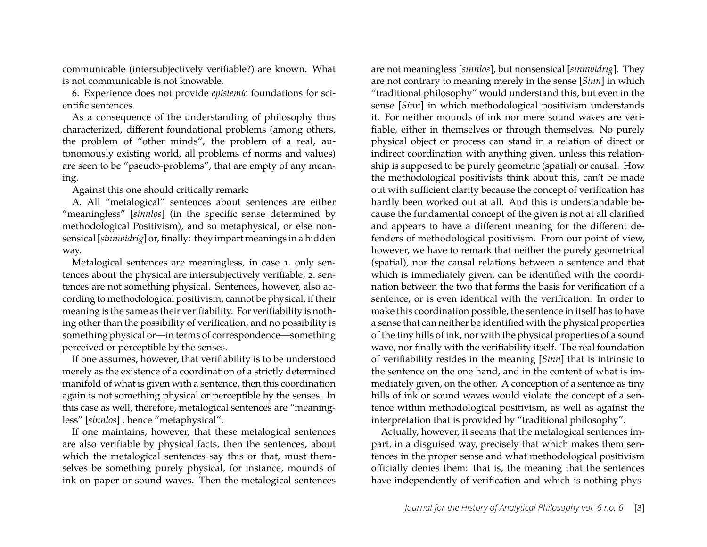communicable (intersubjectively verifiable?) are known. What is not communicable is not knowable.

6. Experience does not provide *epistemic* foundations for scientific sentences.

As a consequence of the understanding of philosophy thus characterized, different foundational problems (among others, the problem of "other minds", the problem of a real, autonomously existing world, all problems of norms and values) are seen to be "pseudo-problems", that are empty of any meaning.

Against this one should critically remark:

A. All "metalogical" sentences about sentences are either "meaningless" [*sinnlos*] (in the specific sense determined by methodological Positivism), and so metaphysical, or else nonsensical [*sinnwidrig*] or, finally: they impart meanings in a hidden way.

Metalogical sentences are meaningless, in case 1. only sentences about the physical are intersubjectively verifiable, 2. sentences are not something physical. Sentences, however, also according to methodological positivism, cannot be physical, if their meaning is the same as their verifiability. For verifiability is nothing other than the possibility of verification, and no possibility is something physical or—in terms of correspondence—something perceived or perceptible by the senses.

If one assumes, however, that verifiability is to be understood merely as the existence of a coordination of a strictly determined manifold of what is given with a sentence, then this coordination again is not something physical or perceptible by the senses. In this case as well, therefore, metalogical sentences are "meaningless" [*sinnlos*] , hence "metaphysical".

If one maintains, however, that these metalogical sentences are also verifiable by physical facts, then the sentences, about which the metalogical sentences say this or that, must themselves be something purely physical, for instance, mounds of ink on paper or sound waves. Then the metalogical sentences

are not meaningless [*sinnlos*], but nonsensical [*sinnwidrig*]. They are not contrary to meaning merely in the sense [*Sinn*] in which "traditional philosophy" would understand this, but even in the sense [*Sinn*] in which methodological positivism understands it. For neither mounds of ink nor mere sound waves are verifiable, either in themselves or through themselves. No purely physical object or process can stand in a relation of direct or indirect coordination with anything given, unless this relationship is supposed to be purely geometric (spatial) or causal. How the methodological positivists think about this, can't be made out with sufficient clarity because the concept of verification has hardly been worked out at all. And this is understandable because the fundamental concept of the given is not at all clarified and appears to have a different meaning for the different defenders of methodological positivism. From our point of view, however, we have to remark that neither the purely geometrical (spatial), nor the causal relations between a sentence and that which is immediately given, can be identified with the coordination between the two that forms the basis for verification of a sentence, or is even identical with the verification. In order to make this coordination possible, the sentence in itself has to have a sense that can neither be identified with the physical properties of the tiny hills of ink, nor with the physical properties of a sound wave, nor finally with the verifiability itself. The real foundation of verifiability resides in the meaning [*Sinn*] that is intrinsic to the sentence on the one hand, and in the content of what is immediately given, on the other. A conception of a sentence as tiny hills of ink or sound waves would violate the concept of a sentence within methodological positivism, as well as against the interpretation that is provided by "traditional philosophy".

Actually, however, it seems that the metalogical sentences impart, in a disguised way, precisely that which makes them sentences in the proper sense and what methodological positivism officially denies them: that is, the meaning that the sentences have independently of verification and which is nothing phys-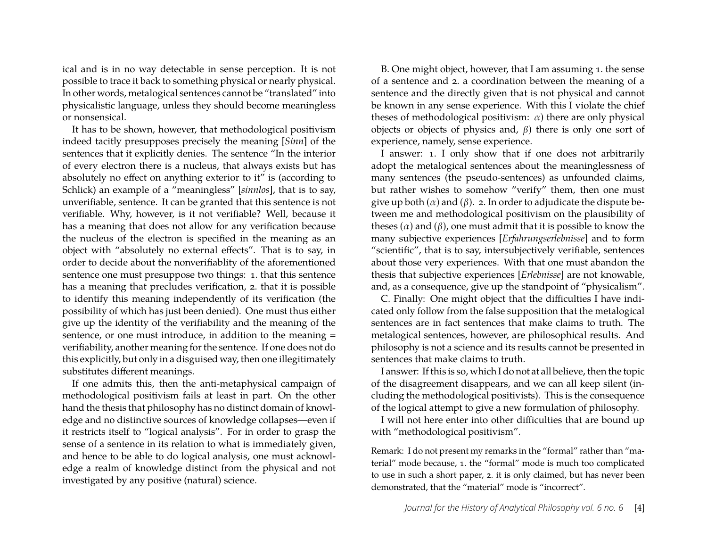ical and is in no way detectable in sense perception. It is not possible to trace it back to something physical or nearly physical. In other words, metalogical sentences cannot be "translated" into physicalistic language, unless they should become meaningless or nonsensical.

It has to be shown, however, that methodological positivism indeed tacitly presupposes precisely the meaning [*Sinn*] of the sentences that it explicitly denies. The sentence "In the interior of every electron there is a nucleus, that always exists but has absolutely no effect on anything exterior to it" is (according to Schlick) an example of a "meaningless" [*sinnlos*], that is to say, unverifiable, sentence. It can be granted that this sentence is not verifiable. Why, however, is it not verifiable? Well, because it has a meaning that does not allow for any verification because the nucleus of the electron is specified in the meaning as an object with "absolutely no external effects". That is to say, in order to decide about the nonverifiablity of the aforementioned sentence one must presuppose two things: 1. that this sentence has a meaning that precludes verification, 2. that it is possible to identify this meaning independently of its verification (the possibility of which has just been denied). One must thus either give up the identity of the verifiability and the meaning of the sentence, or one must introduce, in addition to the meaning = verifiability, another meaning for the sentence. If one does not do this explicitly, but only in a disguised way, then one illegitimately substitutes different meanings.

If one admits this, then the anti-metaphysical campaign of methodological positivism fails at least in part. On the other hand the thesis that philosophy has no distinct domain of knowledge and no distinctive sources of knowledge collapses—even if it restricts itself to "logical analysis". For in order to grasp the sense of a sentence in its relation to what is immediately given, and hence to be able to do logical analysis, one must acknowledge a realm of knowledge distinct from the physical and not investigated by any positive (natural) science.

B. One might object, however, that I am assuming 1. the sense of a sentence and 2. a coordination between the meaning of a sentence and the directly given that is not physical and cannot be known in any sense experience. With this I violate the chief theses of methodological positivism:  $\alpha$ ) there are only physical objects or objects of physics and,  $β$ ) there is only one sort of experience, namely, sense experience.

I answer: 1. I only show that if one does not arbitrarily adopt the metalogical sentences about the meaninglessness of many sentences (the pseudo-sentences) as unfounded claims, but rather wishes to somehow "verify" them, then one must give up both  $(\alpha)$  and  $(\beta)$ . 2. In order to adjudicate the dispute between me and methodological positivism on the plausibility of theses  $(\alpha)$  and  $(\beta)$ , one must admit that it is possible to know the many subjective experiences [*Erfahrungserlebnisse*] and to form "scientific", that is to say, intersubjectively verifiable, sentences about those very experiences. With that one must abandon the thesis that subjective experiences [*Erlebnisse*] are not knowable, and, as a consequence, give up the standpoint of "physicalism".

C. Finally: One might object that the difficulties I have indicated only follow from the false supposition that the metalogical sentences are in fact sentences that make claims to truth. The metalogical sentences, however, are philosophical results. And philosophy is not a science and its results cannot be presented in sentences that make claims to truth.

I answer: If this is so, which I do not at all believe, then the topic of the disagreement disappears, and we can all keep silent (including the methodological positivists). This is the consequence of the logical attempt to give a new formulation of philosophy.

I will not here enter into other difficulties that are bound up with "methodological positivism".

Remark: I do not present my remarks in the "formal" rather than "material" mode because, 1. the "formal" mode is much too complicated to use in such a short paper, 2. it is only claimed, but has never been demonstrated, that the "material" mode is "incorrect".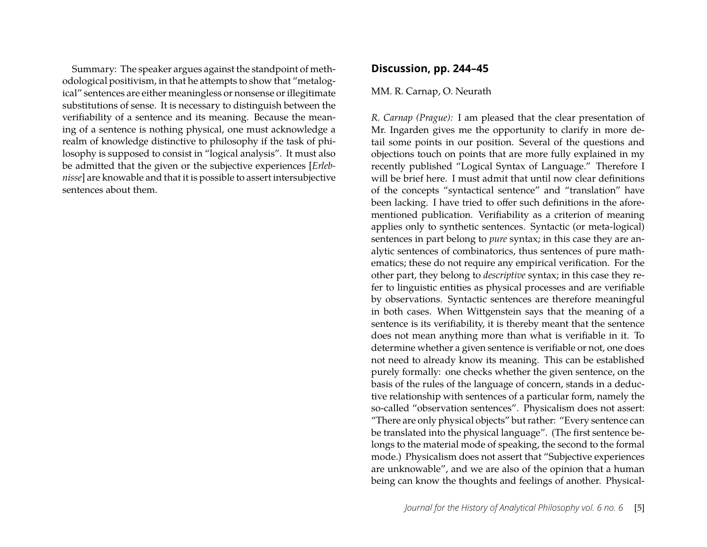Summary: The speaker argues against the standpoint of methodological positivism, in that he attempts to show that "metalogical" sentences are either meaningless or nonsense or illegitimate substitutions of sense. It is necessary to distinguish between the verifiability of a sentence and its meaning. Because the meaning of a sentence is nothing physical, one must acknowledge a realm of knowledge distinctive to philosophy if the task of philosophy is supposed to consist in "logical analysis". It must also be admitted that the given or the subjective experiences [*Erlebnisse*] are knowable and that it is possible to assert intersubjective sentences about them.

#### **Discussion, pp. 244–45**

#### MM. R. Carnap, O. Neurath

*R. Carnap (Prague):* I am pleased that the clear presentation of Mr. Ingarden gives me the opportunity to clarify in more detail some points in our position. Several of the questions and objections touch on points that are more fully explained in my recently published "Logical Syntax of Language." Therefore I will be brief here. I must admit that until now clear definitions of the concepts "syntactical sentence" and "translation" have been lacking. I have tried to offer such definitions in the aforementioned publication. Verifiability as a criterion of meaning applies only to synthetic sentences. Syntactic (or meta-logical) sentences in part belong to *pure* syntax; in this case they are analytic sentences of combinatorics, thus sentences of pure mathematics; these do not require any empirical verification. For the other part, they belong to *descriptive* syntax; in this case they refer to linguistic entities as physical processes and are verifiable by observations. Syntactic sentences are therefore meaningful in both cases. When Wittgenstein says that the meaning of a sentence is its verifiability, it is thereby meant that the sentence does not mean anything more than what is verifiable in it. To determine whether a given sentence is verifiable or not, one does not need to already know its meaning. This can be established purely formally: one checks whether the given sentence, on the basis of the rules of the language of concern, stands in a deductive relationship with sentences of a particular form, namely the so-called "observation sentences". Physicalism does not assert: "There are only physical objects" but rather: "Every sentence can be translated into the physical language". (The first sentence belongs to the material mode of speaking, the second to the formal mode.) Physicalism does not assert that "Subjective experiences are unknowable", and we are also of the opinion that a human being can know the thoughts and feelings of another. Physical